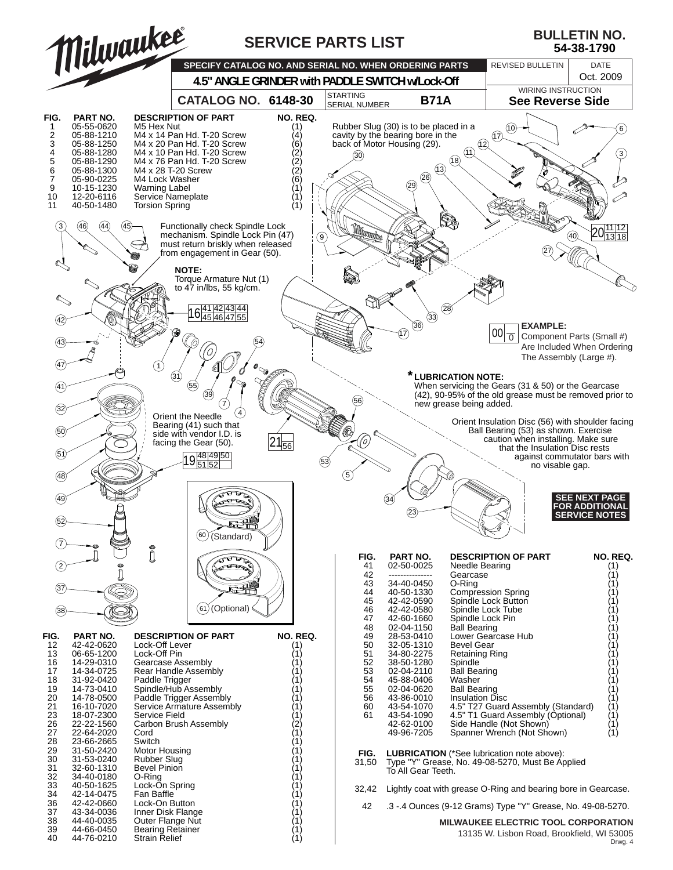